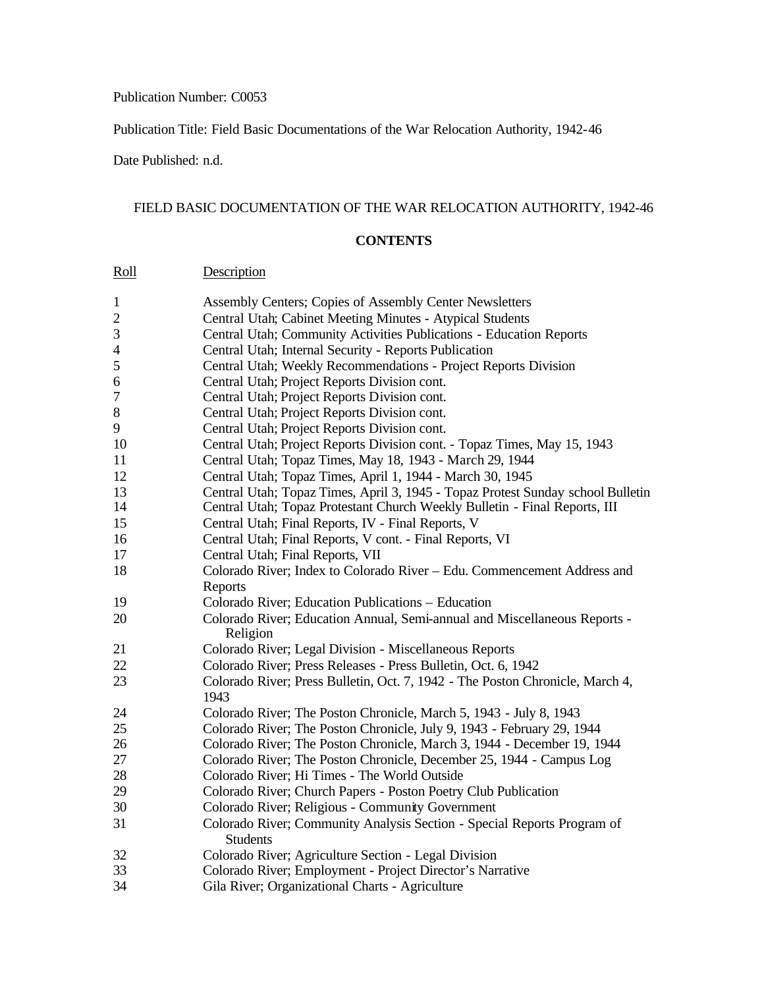## Publication Number: C0053

Publication Title: Field Basic Documentations of the War Relocation Authority, 1942-46

Date Published: n.d.

## FIELD BASIC DOCUMENTATION OF THE WAR RELOCATION AUTHORITY, 1942-46

## **CONTENTS**

| Roll             | Description                                                                                |
|------------------|--------------------------------------------------------------------------------------------|
| $\mathbf{1}$     | Assembly Centers; Copies of Assembly Center Newsletters                                    |
| $\overline{2}$   | Central Utah; Cabinet Meeting Minutes - Atypical Students                                  |
| $\mathfrak{Z}$   | Central Utah; Community Activities Publications - Education Reports                        |
| $\overline{4}$   | Central Utah; Internal Security - Reports Publication                                      |
| 5                | Central Utah; Weekly Recommendations - Project Reports Division                            |
| 6                | Central Utah; Project Reports Division cont.                                               |
| $\boldsymbol{7}$ | Central Utah; Project Reports Division cont.                                               |
| 8                | Central Utah; Project Reports Division cont.                                               |
| 9                | Central Utah; Project Reports Division cont.                                               |
| 10               | Central Utah; Project Reports Division cont. - Topaz Times, May 15, 1943                   |
| 11               | Central Utah; Topaz Times, May 18, 1943 - March 29, 1944                                   |
| 12               | Central Utah; Topaz Times, April 1, 1944 - March 30, 1945                                  |
| 13               | Central Utah; Topaz Times, April 3, 1945 - Topaz Protest Sunday school Bulletin            |
| 14               | Central Utah; Topaz Protestant Church Weekly Bulletin - Final Reports, III                 |
| 15               | Central Utah; Final Reports, IV - Final Reports, V                                         |
| 16               | Central Utah; Final Reports, V cont. - Final Reports, VI                                   |
| 17               | Central Utah; Final Reports, VII                                                           |
| 18               | Colorado River; Index to Colorado River - Edu. Commencement Address and                    |
|                  | Reports                                                                                    |
| 19               | Colorado River; Education Publications - Education                                         |
| 20               | Colorado River; Education Annual, Semi-annual and Miscellaneous Reports -<br>Religion      |
| 21               | Colorado River; Legal Division - Miscellaneous Reports                                     |
| 22               | Colorado River; Press Releases - Press Bulletin, Oct. 6, 1942                              |
| 23               | Colorado River; Press Bulletin, Oct. 7, 1942 - The Poston Chronicle, March 4,<br>1943      |
| 24               | Colorado River; The Poston Chronicle, March 5, 1943 - July 8, 1943                         |
| 25               | Colorado River; The Poston Chronicle, July 9, 1943 - February 29, 1944                     |
| 26               | Colorado River; The Poston Chronicle, March 3, 1944 - December 19, 1944                    |
| 27               | Colorado River; The Poston Chronicle, December 25, 1944 - Campus Log                       |
| 28               | Colorado River; Hi Times - The World Outside                                               |
| 29               | Colorado River; Church Papers - Poston Poetry Club Publication                             |
| 30               | Colorado River; Religious - Community Government                                           |
| 31               | Colorado River; Community Analysis Section - Special Reports Program of<br><b>Students</b> |
| 32               | Colorado River; Agriculture Section - Legal Division                                       |
| 33               | Colorado River; Employment - Project Director's Narrative                                  |
| 34               | Gila River; Organizational Charts - Agriculture                                            |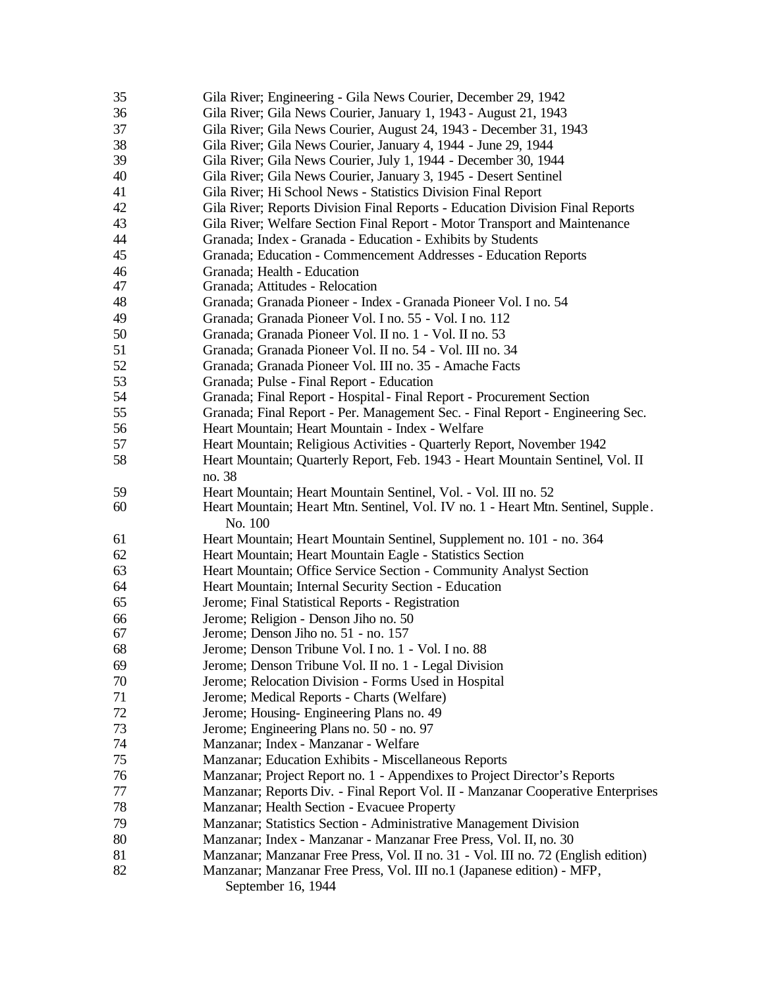| 35 | Gila River; Engineering - Gila News Courier, December 29, 1942                    |
|----|-----------------------------------------------------------------------------------|
| 36 | Gila River; Gila News Courier, January 1, 1943 - August 21, 1943                  |
| 37 | Gila River; Gila News Courier, August 24, 1943 - December 31, 1943                |
| 38 | Gila River; Gila News Courier, January 4, 1944 - June 29, 1944                    |
| 39 | Gila River; Gila News Courier, July 1, 1944 - December 30, 1944                   |
| 40 | Gila River; Gila News Courier, January 3, 1945 - Desert Sentinel                  |
| 41 | Gila River; Hi School News - Statistics Division Final Report                     |
| 42 | Gila River; Reports Division Final Reports - Education Division Final Reports     |
| 43 | Gila River; Welfare Section Final Report - Motor Transport and Maintenance        |
| 44 | Granada; Index - Granada - Education - Exhibits by Students                       |
| 45 | Granada; Education - Commencement Addresses - Education Reports                   |
| 46 | Granada; Health - Education                                                       |
| 47 | Granada; Attitudes - Relocation                                                   |
| 48 | Granada; Granada Pioneer - Index - Granada Pioneer Vol. I no. 54                  |
| 49 | Granada; Granada Pioneer Vol. I no. 55 - Vol. I no. 112                           |
| 50 | Granada; Granada Pioneer Vol. II no. 1 - Vol. II no. 53                           |
| 51 | Granada; Granada Pioneer Vol. II no. 54 - Vol. III no. 34                         |
| 52 | Granada; Granada Pioneer Vol. III no. 35 - Amache Facts                           |
| 53 | Granada; Pulse - Final Report - Education                                         |
| 54 | Granada; Final Report - Hospital - Final Report - Procurement Section             |
| 55 | Granada; Final Report - Per. Management Sec. - Final Report - Engineering Sec.    |
| 56 | Heart Mountain; Heart Mountain - Index - Welfare                                  |
| 57 | Heart Mountain; Religious Activities - Quarterly Report, November 1942            |
| 58 | Heart Mountain; Quarterly Report, Feb. 1943 - Heart Mountain Sentinel, Vol. II    |
|    | no. 38                                                                            |
| 59 | Heart Mountain; Heart Mountain Sentinel, Vol. - Vol. III no. 52                   |
| 60 | Heart Mountain; Heart Mtn. Sentinel, Vol. IV no. 1 - Heart Mtn. Sentinel, Supple. |
|    | No. 100                                                                           |
| 61 | Heart Mountain; Heart Mountain Sentinel, Supplement no. 101 - no. 364             |
| 62 | Heart Mountain; Heart Mountain Eagle - Statistics Section                         |
| 63 | Heart Mountain; Office Service Section - Community Analyst Section                |
| 64 | Heart Mountain; Internal Security Section - Education                             |
| 65 | Jerome; Final Statistical Reports - Registration                                  |
| 66 | Jerome; Religion - Denson Jiho no. 50                                             |
| 67 | Jerome; Denson Jiho no. 51 - no. 157                                              |
| 68 | Jerome; Denson Tribune Vol. I no. 1 - Vol. I no. 88                               |
| 69 | Jerome; Denson Tribune Vol. II no. 1 - Legal Division                             |
| 70 | Jerome; Relocation Division - Forms Used in Hospital                              |
| 71 | Jerome; Medical Reports - Charts (Welfare)                                        |
| 72 | Jerome; Housing-Engineering Plans no. 49                                          |
| 73 | Jerome; Engineering Plans no. 50 - no. 97                                         |
| 74 | Manzanar; Index - Manzanar - Welfare                                              |
| 75 | Manzanar; Education Exhibits - Miscellaneous Reports                              |
| 76 | Manzanar; Project Report no. 1 - Appendixes to Project Director's Reports         |
| 77 | Manzanar; Reports Div. - Final Report Vol. II - Manzanar Cooperative Enterprises  |
| 78 | Manzanar; Health Section - Evacuee Property                                       |
| 79 | Manzanar; Statistics Section - Administrative Management Division                 |
| 80 | Manzanar; Index - Manzanar - Manzanar Free Press, Vol. II, no. 30                 |
| 81 | Manzanar; Manzanar Free Press, Vol. II no. 31 - Vol. III no. 72 (English edition) |
| 82 | Manzanar; Manzanar Free Press, Vol. III no.1 (Japanese edition) - MFP,            |
|    | September 16, 1944                                                                |